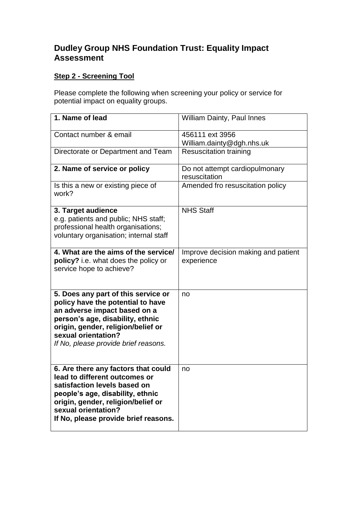# **Dudley Group NHS Foundation Trust: Equality Impact Assessment**

# **Step 2 - Screening Tool**

Please complete the following when screening your policy or service for potential impact on equality groups.

| 1. Name of lead                                                                                                                                                                                                                                   | <b>William Dainty, Paul Innes</b>                 |
|---------------------------------------------------------------------------------------------------------------------------------------------------------------------------------------------------------------------------------------------------|---------------------------------------------------|
| Contact number & email                                                                                                                                                                                                                            | 456111 ext 3956<br>William.dainty@dgh.nhs.uk      |
| Directorate or Department and Team                                                                                                                                                                                                                | <b>Resuscitation training</b>                     |
| 2. Name of service or policy                                                                                                                                                                                                                      | Do not attempt cardiopulmonary<br>resuscitation   |
| Is this a new or existing piece of<br>work?                                                                                                                                                                                                       | Amended fro resuscitation policy                  |
| 3. Target audience<br>e.g. patients and public; NHS staff;<br>professional health organisations;<br>voluntary organisation; internal staff                                                                                                        | <b>NHS Staff</b>                                  |
| 4. What are the aims of the service/<br>policy? i.e. what does the policy or<br>service hope to achieve?                                                                                                                                          | Improve decision making and patient<br>experience |
| 5. Does any part of this service or<br>policy have the potential to have<br>an adverse impact based on a<br>person's age, disability, ethnic<br>origin, gender, religion/belief or<br>sexual orientation?<br>If No, please provide brief reasons. | no                                                |
| 6. Are there any factors that could<br>lead to different outcomes or<br>satisfaction levels based on<br>people's age, disability, ethnic<br>origin, gender, religion/belief or<br>sexual orientation?<br>If No, please provide brief reasons.     | no                                                |